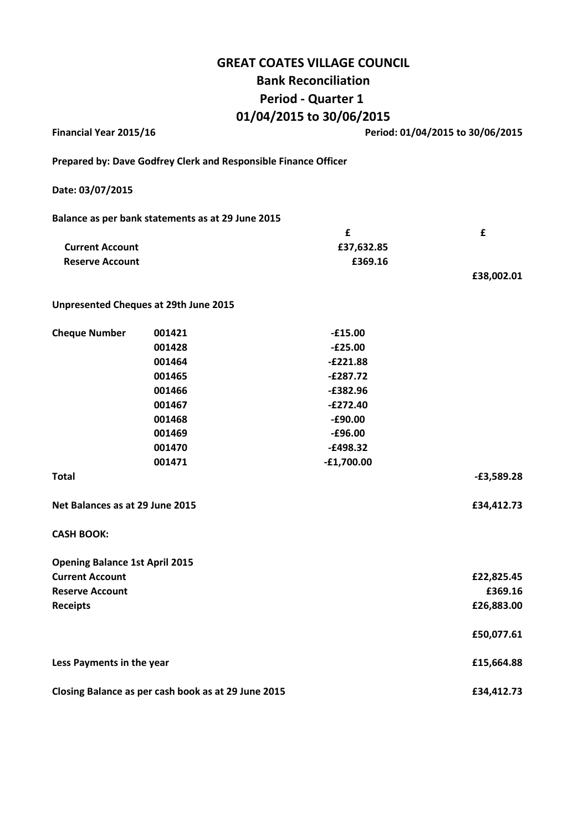# GREAT COATES VILLAGE COUNCIL Bank Reconciliation Period - Quarter 1 01/04/2015 to 30/06/2015

| Financial Year 2015/16                              |                                                                 | Period: 01/04/2015 to 30/06/2015 |              |  |
|-----------------------------------------------------|-----------------------------------------------------------------|----------------------------------|--------------|--|
|                                                     | Prepared by: Dave Godfrey Clerk and Responsible Finance Officer |                                  |              |  |
| Date: 03/07/2015                                    |                                                                 |                                  |              |  |
|                                                     | Balance as per bank statements as at 29 June 2015               |                                  |              |  |
|                                                     |                                                                 | £                                | £            |  |
| <b>Current Account</b>                              |                                                                 | £37,632.85                       |              |  |
| <b>Reserve Account</b>                              |                                                                 | £369.16                          |              |  |
|                                                     |                                                                 |                                  | £38,002.01   |  |
|                                                     | Unpresented Cheques at 29th June 2015                           |                                  |              |  |
| <b>Cheque Number</b>                                | 001421                                                          | $-£15.00$                        |              |  |
|                                                     | 001428                                                          | $-E25.00$                        |              |  |
|                                                     | 001464                                                          | $-E221.88$                       |              |  |
|                                                     | 001465                                                          | $-£287.72$                       |              |  |
|                                                     | 001466                                                          | $-£382.96$                       |              |  |
|                                                     | 001467                                                          | $-E272.40$                       |              |  |
|                                                     | 001468                                                          | $-£90.00$                        |              |  |
|                                                     | 001469                                                          | $-£96.00$                        |              |  |
|                                                     | 001470                                                          | $-£498.32$                       |              |  |
|                                                     | 001471                                                          | $-£1,700.00$                     |              |  |
| <b>Total</b>                                        |                                                                 |                                  | $-£3,589.28$ |  |
| Net Balances as at 29 June 2015                     |                                                                 |                                  | £34,412.73   |  |
| <b>CASH BOOK:</b>                                   |                                                                 |                                  |              |  |
| <b>Opening Balance 1st April 2015</b>               |                                                                 |                                  |              |  |
| <b>Current Account</b>                              |                                                                 |                                  | £22,825.45   |  |
| <b>Reserve Account</b>                              |                                                                 |                                  | £369.16      |  |
| <b>Receipts</b>                                     |                                                                 |                                  | £26,883.00   |  |
|                                                     |                                                                 |                                  | £50,077.61   |  |
| Less Payments in the year                           |                                                                 |                                  | £15,664.88   |  |
| Closing Balance as per cash book as at 29 June 2015 |                                                                 |                                  | £34,412.73   |  |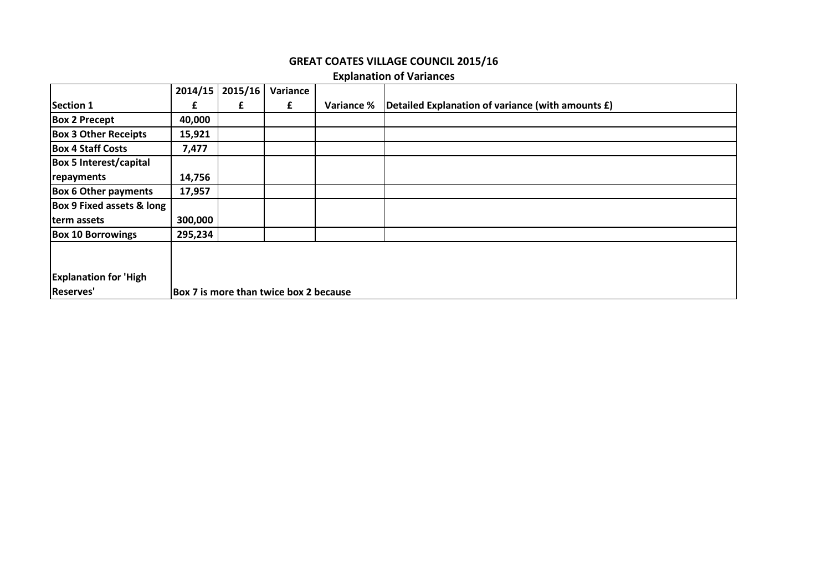### GREAT COATES VILLAGE COUNCIL 2015/16

## Explanation of Variances

|                                      | 2014/15                                | 2015/16 | Variance |            |                                                   |
|--------------------------------------|----------------------------------------|---------|----------|------------|---------------------------------------------------|
| <b>Section 1</b>                     | £                                      | £       | £        | Variance % | Detailed Explanation of variance (with amounts £) |
| <b>Box 2 Precept</b>                 | 40,000                                 |         |          |            |                                                   |
| <b>Box 3 Other Receipts</b>          | 15,921                                 |         |          |            |                                                   |
| <b>Box 4 Staff Costs</b>             | 7,477                                  |         |          |            |                                                   |
| <b>Box 5 Interest/capital</b>        |                                        |         |          |            |                                                   |
| repayments                           | 14,756                                 |         |          |            |                                                   |
| <b>Box 6 Other payments</b>          | 17,957                                 |         |          |            |                                                   |
| <b>Box 9 Fixed assets &amp; long</b> |                                        |         |          |            |                                                   |
| term assets                          | 300,000                                |         |          |            |                                                   |
| <b>Box 10 Borrowings</b>             | 295,234                                |         |          |            |                                                   |
|                                      |                                        |         |          |            |                                                   |
| <b>Explanation for 'High</b>         |                                        |         |          |            |                                                   |
| Reserves'                            | Box 7 is more than twice box 2 because |         |          |            |                                                   |